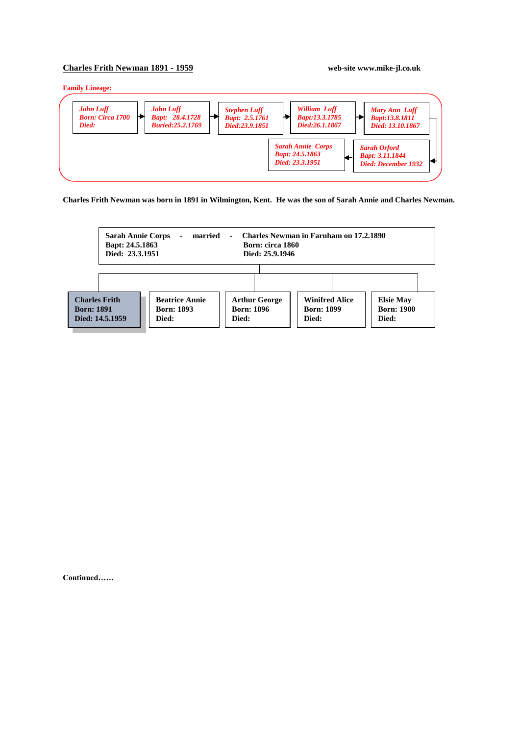## **Charles Frith Newman 1891 - 1959 web-site www.mike-jl.co.uk**

**Family Lineage:**



**Charles Frith Newman was born in 1891 in Wilmington, Kent. He was the son of Sarah Annie and Charles Newman.**



**Continued……**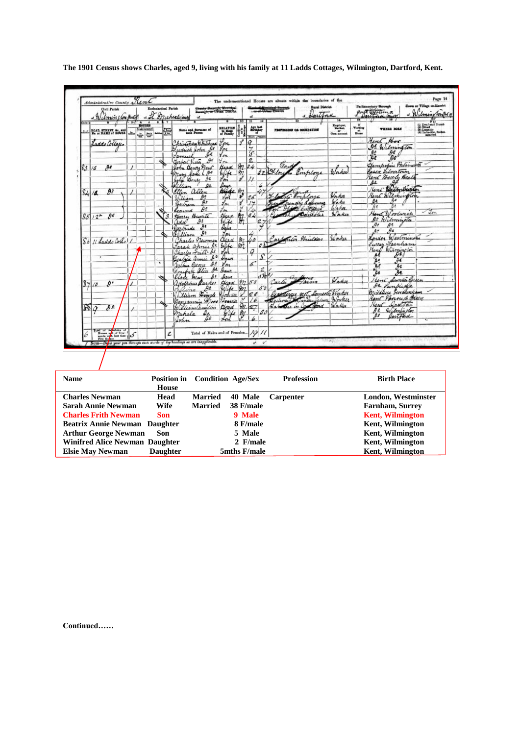|                | Umin un port                                                   |   |                                                      |   |   | County Berough, Municipal<br>Beesugh, or Urean District<br>a It Muchealo/may<br>$\alpha$ |                        | 10 <sup>10</sup>       | oŁ<br>π            |                                                    | -or of Driver Williams<br>a Dartina | $\overline{14}$                     |                                   | prot officers                                                   | Wilmingtons                                                                                       |
|----------------|----------------------------------------------------------------|---|------------------------------------------------------|---|---|------------------------------------------------------------------------------------------|------------------------|------------------------|--------------------|----------------------------------------------------|-------------------------------------|-------------------------------------|-----------------------------------|-----------------------------------------------------------------|---------------------------------------------------------------------------------------------------|
|                | ROAD, STREET, &c., and<br>No. or NAME of ROUSE                 |   | $\overline{4}$<br><b>HOUSES</b><br>Uninhabited<br>출발 | Ŧ |   | Name and Surname of                                                                      | RELATION               |                        |                    | Age last<br>Hirinday                               | PROFESSION OR OCCUPATION            | Employer.<br>Workers<br>Own account | H.<br>Working<br>$m_{\text{max}}$ | WHEEL BORN                                                      | (i) Deaf and Dumb<br>(ii) Binadio<br>(ii) Lansaino, festivalente<br>(ii) Lansacillo, festivalente |
|                | Laddo Collages                                                 |   |                                                      |   |   | Christopha Whitehead                                                                     | $\mathcal{C}_{\rho n}$ |                        | Blaze , Far<br>Q   |                                                    |                                     |                                     |                                   | Aunt Hor                                                        |                                                                                                   |
|                |                                                                |   |                                                      |   |   | udrick John Is                                                                           | $g_{\alpha}$           |                        | $\frac{7}{3}$      |                                                    |                                     |                                     |                                   | <b>95 Wilmington</b>                                            |                                                                                                   |
|                |                                                                |   |                                                      |   |   | oe<br>Jamuel                                                                             | Ym                     |                        |                    |                                                    |                                     |                                     |                                   | ₽€<br>$\frac{\partial s}{\partial t}$<br>Ъo                     |                                                                                                   |
|                |                                                                |   |                                                      |   |   | $\mathcal{G}^{\sigma}$<br>Gerbert Vieta                                                  | You                    |                        | 2                  |                                                    | Gard                                |                                     |                                   | Gampopin Polsmost                                               |                                                                                                   |
| 83             | Дł<br>18                                                       | 1 |                                                      |   |   | John Denry New                                                                           | <b>Beach</b>           |                        | $82 - 34$          |                                                    | 22 04 low                           |                                     |                                   | Casex Librartown                                                |                                                                                                   |
|                |                                                                |   |                                                      |   |   | Mary Same<br>مهر                                                                         | Evife                  | $\theta$               |                    |                                                    | Pomploye                            |                                     |                                   | Kent Beach, Beath                                               |                                                                                                   |
|                |                                                                |   |                                                      |   |   | 肚<br>John Bens                                                                           | Jon <sup>1</sup>       |                        |                    |                                                    |                                     |                                     |                                   | s₽<br><b>A</b> e                                                |                                                                                                   |
|                |                                                                |   |                                                      |   |   | Killian<br>QZ<br>Ellen allen                                                             | lays<br>Bride m        |                        |                    |                                                    |                                     |                                     |                                   | Kent Bulbrickette                                               |                                                                                                   |
|                | 92<br>$S_{4}/4$                                                |   |                                                      |   |   | $\theta$                                                                                 | You                    |                        | 26                 |                                                    | hlove                               | John                                |                                   | Rent Wilmington                                                 |                                                                                                   |
|                |                                                                |   |                                                      |   |   | William<br>$\theta$ e<br>Bertram                                                         | Lon                    |                        |                    |                                                    | rundry Labourer                     | Wakes                               |                                   | os                                                              |                                                                                                   |
|                |                                                                |   |                                                      |   |   | <b>As</b><br>Leonard                                                                     | Уm                     | ч                      |                    |                                                    | Colombia                            | Waha.                               |                                   | Δż<br>R.                                                        |                                                                                                   |
|                | 90<br>$851/2^*$                                                |   |                                                      |   |   | Harry Burite                                                                             | Hear                   |                        |                    |                                                    | Lamerice                            | Waker                               |                                   | Hand Woodwich                                                   | $-2m$                                                                                             |
|                |                                                                |   |                                                      |   |   | ₿ŧ<br>adal                                                                               | Wife                   |                        | $\frac{21}{21}$ 64 |                                                    |                                     |                                     |                                   | De Wilminston                                                   |                                                                                                   |
|                |                                                                |   |                                                      |   |   | Rurbude                                                                                  | daler                  |                        |                    |                                                    |                                     |                                     |                                   | $\mathcal{A}$<br>ge.<br>$\mathcal{L}_{\mathbf{z}}$              |                                                                                                   |
|                |                                                                |   |                                                      |   |   | €۹<br>William                                                                            | you                    |                        |                    |                                                    |                                     |                                     |                                   | $A^{\circ}$                                                     |                                                                                                   |
| S <sub>b</sub> | 11 Ladde Cortel /                                              |   |                                                      |   |   | harles necoman                                                                           | dead M                 |                        | ÚΔ                 |                                                    | Carpenter Printers                  | Worker                              |                                   | Indon Westminster                                               |                                                                                                   |
|                |                                                                |   |                                                      |   |   | $\mathfrak{g}_{\mathfrak{k}}$<br>Jarah annie                                             | Silve                  | m                      |                    | $\ell \Delta \Gamma$                               |                                     |                                     |                                   | Turry Fainham                                                   |                                                                                                   |
|                |                                                                |   |                                                      |   |   | Charles Fritt- de                                                                        | 'n                     |                        | Q                  |                                                    |                                     |                                     |                                   | Hind Wilmington<br>яł                                           |                                                                                                   |
|                |                                                                |   |                                                      |   |   | ه ۹<br>Beatrice annie                                                                    | Incor                  |                        |                    | s                                                  |                                     |                                     |                                   | 44<br>ΆQ                                                        |                                                                                                   |
|                |                                                                |   |                                                      | ٠ |   | $\mathcal{L}$<br>Jestine Crony                                                           | You                    |                        | $\sigma$           |                                                    |                                     |                                     |                                   | À.<br>A¢                                                        |                                                                                                   |
|                |                                                                |   |                                                      |   |   | $\mu$<br>Jonefy Stice                                                                    | Agua                   |                        |                    | 2<br>$\frac{\partial \mathcal{L}}{\partial x^{2}}$ |                                     |                                     |                                   | 9e<br>ae                                                        |                                                                                                   |
|                |                                                                |   |                                                      |   |   | Illece Aras                                                                              | Anua                   | n                      | 50                 |                                                    | and forme<br>Carter a<br>Jacme      | Voter                               |                                   | Heni Dunto Guen                                                 |                                                                                                   |
| $\frac{8}{7}$  | ø٠<br>$\Delta$                                                 |   |                                                      |   |   | Josephines Racker                                                                        | Head<br>Stike          |                        |                    | 53                                                 |                                     |                                     |                                   | de <i>Punkide</i>                                               |                                                                                                   |
|                |                                                                |   |                                                      |   |   | $\partial^2$<br>aira<br>Elliam Finele Bodiau                                             |                        |                        | 24                 |                                                    | one art concentration               |                                     |                                   | middlesse Forchenham                                            |                                                                                                   |
|                |                                                                |   |                                                      |   |   | Conjamin<br>$\mathscr{L}_{\mathscr{H}}$                                                  | Forestle               |                        |                    |                                                    | Fineenzionen Worker                 |                                     |                                   | Rent Jonouch Beach                                              |                                                                                                   |
| Ñ              | $\theta$ e                                                     |   |                                                      |   |   | William Cassillon                                                                        | Dead                   | 911                    | 27                 |                                                    | Salution in Contact Waller          |                                     |                                   | Kent Dayston                                                    |                                                                                                   |
|                | o                                                              |   |                                                      |   |   | mahala                                                                                   | 44                     | $\frac{2\pi}{\beta^2}$ |                    |                                                    |                                     |                                     |                                   | De Wilminston                                                   |                                                                                                   |
|                |                                                                |   |                                                      |   |   | Ω₽<br>Irlin                                                                              |                        |                        | h                  |                                                    |                                     |                                     |                                   | faitford<br>ps.                                                 |                                                                                                   |
|                |                                                                |   |                                                      |   |   |                                                                                          |                        |                        |                    |                                                    |                                     |                                     |                                   |                                                                 |                                                                                                   |
| 6              | $\left \frac{\text{total of}}{\text{time of the time}}\right $ |   |                                                      |   | Ź | Total of Males and of Females                                                            |                        |                        |                    | 1011                                               |                                     |                                     |                                   |                                                                 |                                                                                                   |
|                |                                                                |   |                                                      |   |   | / Norz—Drine your pen through such awake of thy houdings as are inapplicable.            |                        |                        |                    |                                                    |                                     | division in                         |                                   | when the property to severe the control and the property in the |                                                                                                   |

**The 1901 Census shows Charles, aged 9, living with his family at 11 Ladds Cottages, Wilmington, Dartford, Kent.**

| <b>Name</b>                           | House      | <b>Position in</b> Condition Age/Sex |              | <b>Profession</b> | <b>Birth Place</b>         |
|---------------------------------------|------------|--------------------------------------|--------------|-------------------|----------------------------|
| <b>Charles Newman</b>                 | Head       | <b>Married</b>                       | 40 Male      | <b>Carpenter</b>  | <b>London, Westminster</b> |
| Sarah Annie Newman                    | Wife       | <b>Married</b>                       | 38 F/male    |                   | <b>Farnham, Surrey</b>     |
| <b>Charles Frith Newman</b>           | <b>Son</b> |                                      | 9 Male       |                   | <b>Kent, Wilmington</b>    |
| <b>Beatrix Annie Newman Daughter</b>  |            |                                      | 8 F/male     |                   | <b>Kent, Wilmington</b>    |
| <b>Arthur George Newman</b>           | Son        |                                      | 5 Male       |                   | <b>Kent, Wilmington</b>    |
| <b>Winifred Alice Newman Daughter</b> |            |                                      | 2 F/male     |                   | <b>Kent, Wilmington</b>    |
| <b>Elsie May Newman</b>               | Daughter   |                                      | 5mths F/male |                   | <b>Kent, Wilmington</b>    |

**Continued……**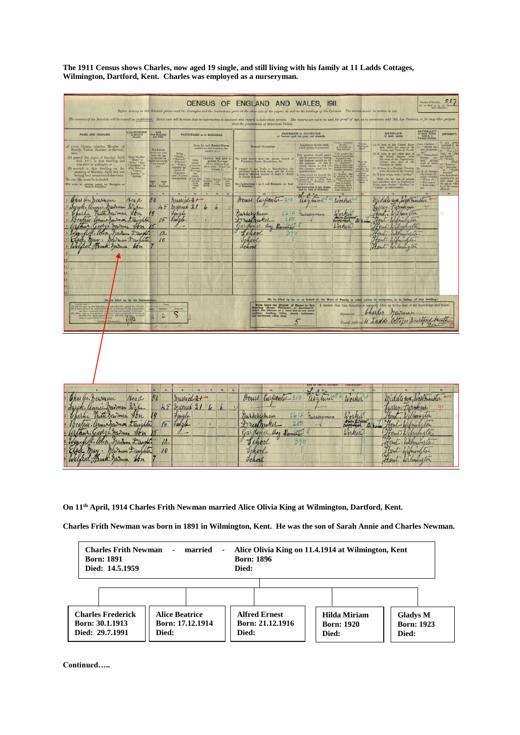**The 1911 Census shows Charles, now aged 19 single, and still living with his family at 11 Ladds Cottages, Wilmington, Dartford, Kent. Charles was employed as a nurseryman.**

|                                                                                                                                                                                                                                                                                                                                                                                                                                                                                                                                                                                                                                                                            |                                                                                                                                                                                                                                                                                                                                                                                                                                                                                                                                                                                                                                                                                                                                                                                                                                                                                                                                                                                                                                                                                                                                                                                                                                                                                                                                                                                                                                                                                                                                                                                                                                                                                                                                                                                                                      | CENSUS OF ENGLAND AND WALES, 1911.<br>Before writing on this Schedule please read the Ecomples and the Instructions given on the other side of the paper, as well as the headings of the Culumns. The retreat shauld be serince in Ink.                                                                                                                                                                                                                                                                                                                                                                                                                                                                                                                                                                                                                                                                                                                                                                                                                                                                                                                                                                                                                                                                                                                                         | 227<br>Nasher of Information<br>(To be filled up by the En                                                                                                                                                                                                                                                                                                                                                                                                                                                                                                                                                                                                                                                                                                                                                                                                                                                  |
|----------------------------------------------------------------------------------------------------------------------------------------------------------------------------------------------------------------------------------------------------------------------------------------------------------------------------------------------------------------------------------------------------------------------------------------------------------------------------------------------------------------------------------------------------------------------------------------------------------------------------------------------------------------------------|----------------------------------------------------------------------------------------------------------------------------------------------------------------------------------------------------------------------------------------------------------------------------------------------------------------------------------------------------------------------------------------------------------------------------------------------------------------------------------------------------------------------------------------------------------------------------------------------------------------------------------------------------------------------------------------------------------------------------------------------------------------------------------------------------------------------------------------------------------------------------------------------------------------------------------------------------------------------------------------------------------------------------------------------------------------------------------------------------------------------------------------------------------------------------------------------------------------------------------------------------------------------------------------------------------------------------------------------------------------------------------------------------------------------------------------------------------------------------------------------------------------------------------------------------------------------------------------------------------------------------------------------------------------------------------------------------------------------------------------------------------------------------------------------------------------------|---------------------------------------------------------------------------------------------------------------------------------------------------------------------------------------------------------------------------------------------------------------------------------------------------------------------------------------------------------------------------------------------------------------------------------------------------------------------------------------------------------------------------------------------------------------------------------------------------------------------------------------------------------------------------------------------------------------------------------------------------------------------------------------------------------------------------------------------------------------------------------------------------------------------------------------------------------------------------------------------------------------------------------------------------------------------------------------------------------------------------------------------------------------------------------------------------------------------------------------------------------------------------------------------------------------------------------------------------------------------------------|-------------------------------------------------------------------------------------------------------------------------------------------------------------------------------------------------------------------------------------------------------------------------------------------------------------------------------------------------------------------------------------------------------------------------------------------------------------------------------------------------------------------------------------------------------------------------------------------------------------------------------------------------------------------------------------------------------------------------------------------------------------------------------------------------------------------------------------------------------------------------------------------------------------|
|                                                                                                                                                                                                                                                                                                                                                                                                                                                                                                                                                                                                                                                                            |                                                                                                                                                                                                                                                                                                                                                                                                                                                                                                                                                                                                                                                                                                                                                                                                                                                                                                                                                                                                                                                                                                                                                                                                                                                                                                                                                                                                                                                                                                                                                                                                                                                                                                                                                                                                                      | The contents of the Schedule will be treated as confidential. Strict care will be taken that no information is disclosed with regard to individual yersens. The vetures are not to be used for proof of app, as in connection<br>than the preparation of Statistical Tables.                                                                                                                                                                                                                                                                                                                                                                                                                                                                                                                                                                                                                                                                                                                                                                                                                                                                                                                                                                                                                                                                                                    |                                                                                                                                                                                                                                                                                                                                                                                                                                                                                                                                                                                                                                                                                                                                                                                                                                                                                                             |
| HELAYIONSHIP<br>NAME AND SUBNAME                                                                                                                                                                                                                                                                                                                                                                                                                                                                                                                                                                                                                                           | <b>Cast Birmday</b><br>and BEX.<br>PARTICULARS as to MARRIAGE.                                                                                                                                                                                                                                                                                                                                                                                                                                                                                                                                                                                                                                                                                                                                                                                                                                                                                                                                                                                                                                                                                                                                                                                                                                                                                                                                                                                                                                                                                                                                                                                                                                                                                                                                                       | <b>FROFEREDON or OCCUPATION</b><br>of Persons aged to years and upwards                                                                                                                                                                                                                                                                                                                                                                                                                                                                                                                                                                                                                                                                                                                                                                                                                                                                                                                                                                                                                                                                                                                                                                                                                                                                                                         | NATIONALITY<br>of every Ferman<br>Form In a<br>BIRTHPLACE<br>of every person<br>DUTILMIT!                                                                                                                                                                                                                                                                                                                                                                                                                                                                                                                                                                                                                                                                                                                                                                                                                   |
| every Person, whether Member of Family, Visitor, Boarder, or Servant,<br>wiso<br>(1) passed the night of Sunday, April 2nd, 1911, in this dwelling and was alree at midnight, or<br>$\begin{array}{l} \mbox{first whether}\\ \alpha\ \mbox{Hint}^* \text{ or}\\ \neg\ \mbox{Wm}_i^* \sim \mbox{Sim}^*\\ \neg\ \mbox{Daglator}^* \text{ or}\\ \mbox{other Rodor}^* \text{ or}\\ \neg\ \mbox{Tador}^*\\ \neg\ \mbox{Fador}^*\\ \neg\ \mbox{Rador}^*\\ \end{array}$<br>(2) arrived in this dwelling on the morning of Monday, April 3rd, not having been enumerated slawbers.<br>* Harvaurt."<br>No one she must be included.<br>(For order of entering names see Examples on | State, for each Married Weman calured on this Nekslinis, the mondar of $\ldots$<br>For Infants<br>make one year<br>state the age<br>$\begin{array}{r} \text{Write} \\ = \operatorname{HingIn} \\ \text{``Marmon''} \\ \text{`` Mathowon''} \\ \text{`` Withowon''} \\ \text{`` Wehere} \end{array}$<br>Completed<br>ploted<br>cars 18<br><b>SUP CHAIR HOUSES</b><br>une month<br>opposite the<br>manus of<br>all persons<br>and upwards<br>$\begin{tabular}{ c c } \hline & \multicolumn{1}{ c }{\textbf{Consistency}}\\ \hline & \multicolumn{1}{ c }{\textbf{Intra}}\\ \hline & \multicolumn{1}{ c }{\textbf{Intra}}\\ \hline & \multicolumn{1}{ c }{\textbf{Intra}}\\ \hline & \multicolumn{1}{ c }{\textbf{Intra}}\\ \hline & \multicolumn{1}{ c }{\textbf{Intra}}\\ \hline & \multicolumn{1}{ c }{\textbf{Intra}}\\ \hline & \multicolumn{1}{ c }{\textbf{Intra}}\\ \hline \end{tabular}$<br>$\begin{tabular}{ c c c c } \hline \multicolumn{1}{ c }{\textbf{Total}} & \multicolumn{1}{ c }{\textbf{CALM}} \\ \hline \multicolumn{1}{ c }{\textbf{Data}} & \multicolumn{1}{ c }{\textbf{CALM}} \\ \hline \multicolumn{1}{ c }{\textbf{Data}} & \multicolumn{1}{ c }{\textbf{CALM}} \\ \hline \multicolumn{1}{ c }{\textbf{Data}} & \multicolumn{1}{ c }{\textbf{LAM}} \\ \hline \multicolumn{1}{ c }{\textbf{AInra}} & \multicolumn{1}{ c }{\textbf{LAM}}$<br>mate<br>$\begin{tabular}{ c c c } \hline \textbf{A} & \textbf{A} & \textbf{A} & \textbf{A} & \textbf{A} & \textbf{A} & \textbf{A} & \textbf{A} & \textbf{A} & \textbf{A} & \textbf{A} & \textbf{A} & \textbf{A} & \textbf{A} & \textbf{A} & \textbf{A} & \textbf{A} & \textbf{A} & \textbf{A} & \textbf{A} & \textbf{A} & \textbf{A} & \textbf{A} & \textbf{A} & \textbf{A} & \textbf{A} & \textbf{A} & \textbf{A} & \textbf{A} &$<br><b>Base</b> | Working on<br>or Waching on<br><b>Window</b><br>Huming as<br>Industry or Service with<br>which worker is nonnected<br>Personal Occupation.<br>Cela opposite the<br>angeled is any<br>sala or Johanny<br>1) " Englopes"<br>This quantion should genere ally be an<br>inverse by standing the business can by the employer. If this is shortly shown in<br>$\mathbb{G} \Omega$ . It is shown in $\mathbb{G} \Omega$ , the space<br>inverse in $\mathbb{G} \Omega$ . The same stress the space<br>The reply should show the precise branch of<br>$\begin{tabular}{ c c } \hline \textbf{Wole for} \\ \hline \textbf{m} & \textbf{m} \\ \hline \textbf{m} & \textbf{m} \\ \hline \textbf{m} & \textbf{m} \\ \hline \textbf{m} & \textbf{m} \\ \hline \textbf{m} & \textbf{m} \\ \hline \textbf{m} & \textbf{m} \\ \hline \textbf{m} & \textbf{m} \\ \hline \textbf{m} & \textbf{m} \\ \hline \textbf{m} & \textbf{m} \\ \hline \textbf{m} & \textbf{m} \\ \hline \textbf{m} & \textbf{m} \\ \hline \textbf{m}$<br>mgapul in any Trade or Mamilastara, the particular kind of work done, and the Article in choose or Manital worked or doubt to should be clearly indicated.<br>Walter Titler<br>working for an<br>weter moded for De<br><b>Service Bridge</b><br>engineel, or<br>Hoe Instructions I to 8 and Examples on back<br>are from a silene<br>(See Instruction 9 and Exam- | eclused in<br>$\begin{tabular}{ll} (1) \hline 11 & born in the Unbed. Kingdom, write the mass of theCountry, and Town or Pucial. \end{tabular}$<br>British sale<br>Nchodule is<br>3 ** Tota<br>ject by parent-<br>$\begin{tabular}{ll} (2) \text{ } \text{B} \text{ } \text{ term in any other part of} \\ \text{the Heirial Pointing, with} \\ \text{the area of the Pointing,} \\ \text{Cokery, } \\ \text{Cokery, } \\ \text{Fretrimes or Rath} \end{tabular}$<br>Hritish sub-<br>joot," giving<br>year of man-<br>$\begin{array}{ll} \text{(5) II, born in a Fourier. Construct,} \\ \text{weile the named the Conmetry,} \\ \text{(1) II term is now, write = At Ban.} \end{array}$<br>31 of the<br>tane whath<br>"Fronch,<br>Norm-In the case of persons been class<br>there that in England or Wales, state whether "Resolute" or<br>"Visite" in this Country.<br>German.<br>the age at<br>"Hussian, |
| Charles. Deuman<br>Head<br>Jarck, annie newman Wife<br>Charlie Trath Dewman Jon<br>Bratrix. Armie Gewinon trangular<br>arthur. George Jarmen Jon<br>Winniethe allia Madwan Daughter<br>Else May. Newman Daughter<br>Wilfred Frank Jaiman Son<br>to filled up by the Runn-<br>$C\Gamma$<br>I covered that the state of the distribution of the state of the state and it<br>or making the part<br><b>SI ARA</b><br>240                                                                                                                                                                                                                                                      | 50<br>married 21<br>48<br>married 21 6 6<br>Jungle<br>Julate<br>18<br>12<br>10<br>$\overline{\mathcal{E}}$<br>$\mathcal{L}(\mathcal{A})$                                                                                                                                                                                                                                                                                                                                                                                                                                                                                                                                                                                                                                                                                                                                                                                                                                                                                                                                                                                                                                                                                                                                                                                                                                                                                                                                                                                                                                                                                                                                                                                                                                                                             | l. ere<br>Pouse Carpenter 210<br>again<br>Worker<br>Marseryman<br>564<br>russayman<br>Worker<br>2.80<br>Dreifmaker<br>alk.<br>Worker<br>Gardener Boy Domitic<br>School<br>390<br>School<br>Jehool<br>(To be filled up by, or on hehalf of, the Head of Family or other porn<br>Write below the Number of Reems in this Council of Bostness, the Apactonst), the Council Council of the State council and the methods of the main and warehouse, handled and the main and warehouse, since, since,<br>Signature<br>5 <sup>2</sup>                                                                                                                                                                                                                                                                                                                                                                                                                                                                                                                                                                                                                                                                                                                                                                                                                                                | middle sex, Westminister +<br>Jurrey Farmhaue<br>Rent. Wilmington<br>Rent Wilmington<br>Heut. Ealmington<br>Hent Wilmington<br>n in eccepation, or in sharps, of this dwelling.)<br>I declare that this Schedule is correctly filled up to the best of my knowledge and belief.<br>Charles . newman<br>Postal Address 11 Ladds . Cottages Dartport becath                                                                                                                                                                                                                                                                                                                                                                                                                                                                                                                                                   |
| Charles. Dewman<br>Head<br>Jarak, annie heidman Wife<br>Charlie Frittigewman Son<br>Beatrix. armic Gavenon Daughter<br>arthur George navman Jon<br>Winipell. Alice Madman Daughter<br>Elsee May. Newman Daughter<br>Welfred Frank Jawman Son                                                                                                                                                                                                                                                                                                                                                                                                                               | $\cdot$ 7.<br>50<br>married 21<br>48<br>married 21<br>$\iota$<br>19<br>Jingle<br>Juigle<br>18<br>12<br>10 <sup>°</sup>                                                                                                                                                                                                                                                                                                                                                                                                                                                                                                                                                                                                                                                                                                                                                                                                                                                                                                                                                                                                                                                                                                                                                                                                                                                                                                                                                                                                                                                                                                                                                                                                                                                                                               | $a^{\mu}$<br>House Carpenter 210<br>allytime 8<br>Worker<br>Worker<br>nursersman<br>564<br>russayman<br>Low account at his<br>280<br>Dressmaker<br>Garden er Bay Domestic<br>Worker<br>School<br>390<br>Tchool<br>Tchool                                                                                                                                                                                                                                                                                                                                                                                                                                                                                                                                                                                                                                                                                                                                                                                                                                                                                                                                                                                                                                                                                                                                                        | Middle sex, Westminder<br>Turrey-Farmham<br>190<br>rent. Wilmungton<br>Bent Wilmington<br>Hent Wilmington<br>Hent. Walnumation<br>Fent: Wilmington<br>Sent Wilmington                                                                                                                                                                                                                                                                                                                                                                                                                                                                                                                                                                                                                                                                                                                                       |

**On 11th April, 1914 Charles Frith Newman married Alice Olivia King at Wilmington, Dartford, Kent.**

**Charles Frith Newman was born in 1891 in Wilmington, Kent. He was the son of Sarah Annie and Charles Newman.**



**Continued…..**